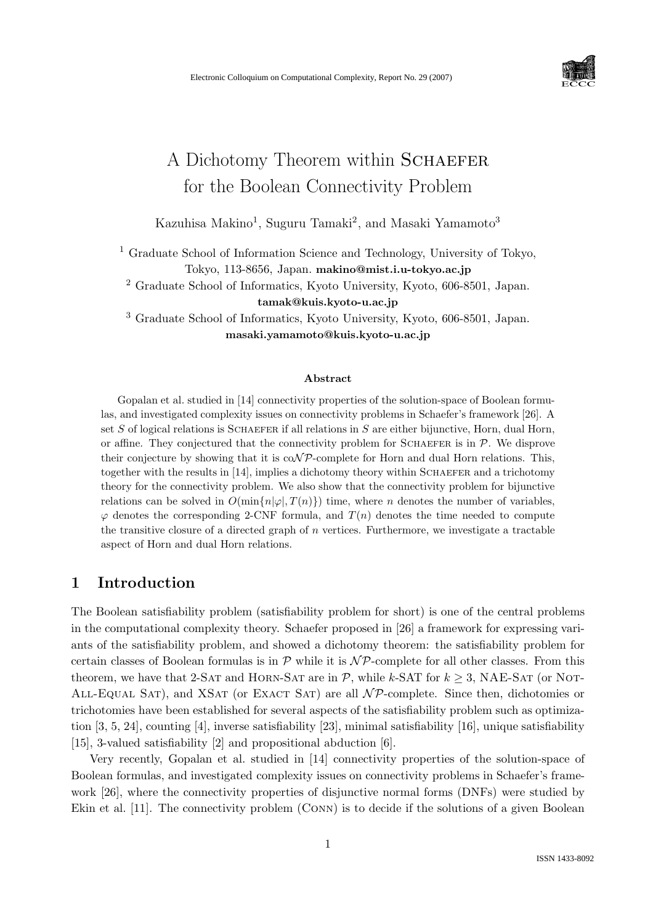

# A Dichotomy Theorem within SCHAEFER for the Boolean Connectivity Problem

Kazuhisa Makino<sup>1</sup>, Suguru Tamaki<sup>2</sup>, and Masaki Yamamoto<sup>3</sup>

<sup>1</sup> Graduate School of Information Science and Technology, University of Tokyo, Tokyo, 113-8656, Japan. makino@mist.i.u-tokyo.ac.jp

<sup>2</sup> Graduate School of Informatics, Kyoto University, Kyoto, 606-8501, Japan. tamak@kuis.kyoto-u.ac.jp

<sup>3</sup> Graduate School of Informatics, Kyoto University, Kyoto, 606-8501, Japan. masaki.yamamoto@kuis.kyoto-u.ac.jp

#### Abstract

Gopalan et al. studied in [14] connectivity properties of the solution-space of Boolean formulas, and investigated complexity issues on connectivity problems in Schaefer's framework [26]. A set  $S$  of logical relations is SCHAEFER if all relations in  $S$  are either bijunctive, Horn, dual Horn, or affine. They conjectured that the connectivity problem for SCHAEFER is in  $P$ . We disprove their conjecture by showing that it is  $\text{coNP-complete}$  for Horn and dual Horn relations. This, together with the results in [14], implies a dichotomy theory within SCHAEFER and a trichotomy theory for the connectivity problem. We also show that the connectivity problem for bijunctive relations can be solved in  $O(\min\{n|\varphi|, T(n)\})$  time, where *n* denotes the number of variables,  $\varphi$  denotes the corresponding 2-CNF formula, and  $T(n)$  denotes the time needed to compute the transitive closure of a directed graph of  $n$  vertices. Furthermore, we investigate a tractable aspect of Horn and dual Horn relations.

## 1 Introduction

The Boolean satisfiability problem (satisfiability problem for short) is one of the central problems in the computational complexity theory. Schaefer proposed in [26] a framework for expressing variants of the satisfiability problem, and showed a dichotomy theorem: the satisfiability problem for certain classes of Boolean formulas is in  $\mathcal P$  while it is  $\mathcal N\mathcal P$ -complete for all other classes. From this theorem, we have that 2-SAT and HORN-SAT are in  $P$ , while k-SAT for  $k \geq 3$ , NAE-SAT (or NOT-ALL-EQUAL SAT), and XSAT (or EXACT SAT) are all  $\mathcal{NP}$ -complete. Since then, dichotomies or trichotomies have been established for several aspects of the satisfiability problem such as optimization [3, 5, 24], counting [4], inverse satisfiability [23], minimal satisfiability [16], unique satisfiability [15], 3-valued satisfiability [2] and propositional abduction [6].

Very recently, Gopalan et al. studied in [14] connectivity properties of the solution-space of Boolean formulas, and investigated complexity issues on connectivity problems in Schaefer's framework [26], where the connectivity properties of disjunctive normal forms (DNFs) were studied by Ekin et al. [11]. The connectivity problem (Conn) is to decide if the solutions of a given Boolean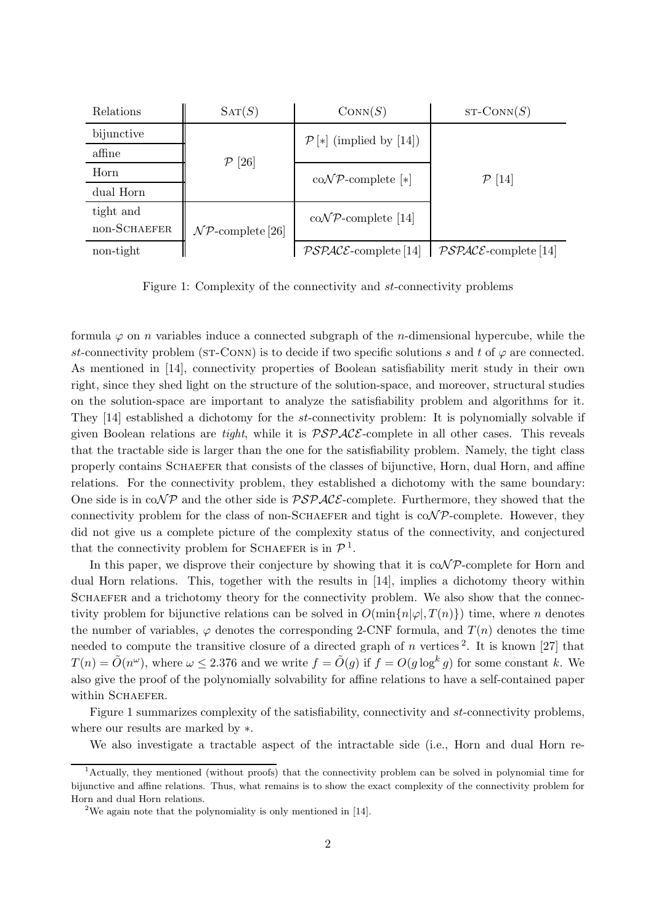| Relations    | SAT(S)                           | Conv(S)                                       | $ST\text{-CONN}(S)$     |
|--------------|----------------------------------|-----------------------------------------------|-------------------------|
| bijunctive   |                                  | $\mathcal{P}[*]$ (implied by [14])            |                         |
| affine       | $\left[ 26\right]$<br>${\cal P}$ |                                               |                         |
| Horn         |                                  | $\mathrm{co}\mathcal{NP}\text{-complete }[*]$ | $\mathcal{P}$ [14]      |
| dual Horn    |                                  |                                               |                         |
| tight and    |                                  | $\mathrm{co}\mathcal{NP}$ -complete [14]      |                         |
| non-SCHAEFER | $\mathcal{NP}$ -complete [26]    |                                               |                         |
| non-tight    |                                  | $\mathcal{PSPACE}\text{-complete}$ [14]       | $PSPACE$ -complete [14] |

Figure 1: Complexity of the connectivity and st-connectivity problems

formula  $\varphi$  on *n* variables induce a connected subgraph of the *n*-dimensional hypercube, while the st-connectivity problem (ST-CONN) is to decide if two specific solutions s and t of  $\varphi$  are connected. As mentioned in [14], connectivity properties of Boolean satisfiability merit study in their own right, since they shed light on the structure of the solution-space, and moreover, structural studies on the solution-space are important to analyze the satisfiability problem and algorithms for it. They [14] established a dichotomy for the st-connectivity problem: It is polynomially solvable if given Boolean relations are *tight*, while it is  $\mathcal{PSPACE}$ -complete in all other cases. This reveals that the tractable side is larger than the one for the satisfiability problem. Namely, the tight class properly contains SCHAEFER that consists of the classes of bijunctive, Horn, dual Horn, and affine relations. For the connectivity problem, they established a dichotomy with the same boundary: One side is in  $co\mathcal{NP}$  and the other side is  $\mathcal{PSPACE}$ -complete. Furthermore, they showed that the connectivity problem for the class of non-SCHAEFER and tight is  $\text{coNP-complete.}$  However, they did not give us a complete picture of the complexity status of the connectivity, and conjectured that the connectivity problem for SCHAEFER is in  $\mathcal{P}^1$ .

In this paper, we disprove their conjecture by showing that it is  $\text{coN}P\text{-complete}$  for Horn and dual Horn relations. This, together with the results in [14], implies a dichotomy theory within SCHAEFER and a trichotomy theory for the connectivity problem. We also show that the connectivity problem for bijunctive relations can be solved in  $O(\min\{n|\varphi|,T(n)\})$  time, where n denotes the number of variables,  $\varphi$  denotes the corresponding 2-CNF formula, and  $T(n)$  denotes the time needed to compute the transitive closure of a directed graph of n vertices<sup>2</sup>. It is known [27] that  $T(n) = \tilde{O}(n^{\omega})$ , where  $\omega \leq 2.376$  and we write  $f = \tilde{O}(g)$  if  $f = O(g \log^k g)$  for some constant k. We also give the proof of the polynomially solvability for affine relations to have a self-contained paper within SCHAEFER.

Figure 1 summarizes complexity of the satisfiability, connectivity and st-connectivity problems, where our results are marked by ∗.

We also investigate a tractable aspect of the intractable side (i.e., Horn and dual Horn re-

<sup>1</sup>Actually, they mentioned (without proofs) that the connectivity problem can be solved in polynomial time for bijunctive and affine relations. Thus, what remains is to show the exact complexity of the connectivity problem for Horn and dual Horn relations.

<sup>&</sup>lt;sup>2</sup>We again note that the polynomiality is only mentioned in [14].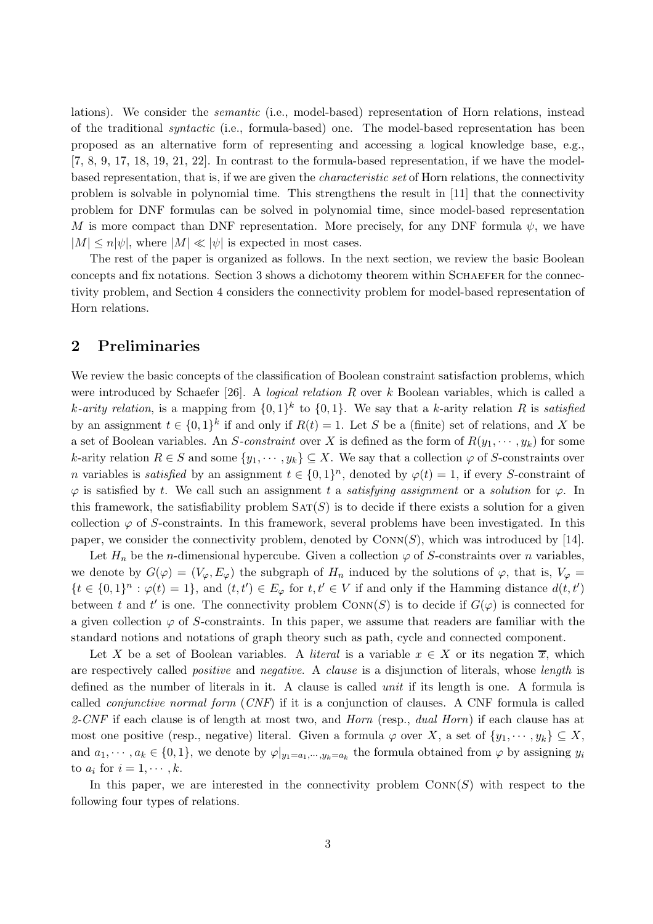lations). We consider the semantic (i.e., model-based) representation of Horn relations, instead of the traditional syntactic (i.e., formula-based) one. The model-based representation has been proposed as an alternative form of representing and accessing a logical knowledge base, e.g., [7, 8, 9, 17, 18, 19, 21, 22]. In contrast to the formula-based representation, if we have the modelbased representation, that is, if we are given the characteristic set of Horn relations, the connectivity problem is solvable in polynomial time. This strengthens the result in [11] that the connectivity problem for DNF formulas can be solved in polynomial time, since model-based representation M is more compact than DNF representation. More precisely, for any DNF formula  $\psi$ , we have  $|M| \leq n |\psi|$ , where  $|M| \ll |\psi|$  is expected in most cases.

The rest of the paper is organized as follows. In the next section, we review the basic Boolean concepts and fix notations. Section 3 shows a dichotomy theorem within SCHAEFER for the connectivity problem, and Section 4 considers the connectivity problem for model-based representation of Horn relations.

### 2 Preliminaries

We review the basic concepts of the classification of Boolean constraint satisfaction problems, which were introduced by Schaefer [26]. A *logical relation R* over  $k$  Boolean variables, which is called a k-arity relation, is a mapping from  $\{0,1\}^k$  to  $\{0,1\}$ . We say that a k-arity relation R is satisfied by an assignment  $t \in \{0,1\}^k$  if and only if  $R(t) = 1$ . Let S be a (finite) set of relations, and X be a set of Boolean variables. An S-constraint over X is defined as the form of  $R(y_1, \dots, y_k)$  for some k-arity relation  $R \in S$  and some  $\{y_1, \dots, y_k\} \subseteq X$ . We say that a collection  $\varphi$  of S-constraints over *n* variables is *satisfied* by an assignment  $t \in \{0,1\}^n$ , denoted by  $\varphi(t) = 1$ , if every S-constraint of  $\varphi$  is satisfied by t. We call such an assignment t a satisfying assignment or a solution for  $\varphi$ . In this framework, the satisfiability problem  $SAT(S)$  is to decide if there exists a solution for a given collection  $\varphi$  of S-constraints. In this framework, several problems have been investigated. In this paper, we consider the connectivity problem, denoted by  $\text{Conv}(S)$ , which was introduced by [14].

Let  $H_n$  be the *n*-dimensional hypercube. Given a collection  $\varphi$  of S-constraints over *n* variables, we denote by  $G(\varphi) = (V_{\varphi}, E_{\varphi})$  the subgraph of  $H_n$  induced by the solutions of  $\varphi$ , that is,  $V_{\varphi} =$  $\{t \in \{0,1\}^n : \varphi(t) = 1\}$ , and  $(t, t') \in E_{\varphi}$  for  $t, t' \in V$  if and only if the Hamming distance  $d(t, t')$ between t and t' is one. The connectivity problem  $\text{Conv}(S)$  is to decide if  $G(\varphi)$  is connected for a given collection  $\varphi$  of S-constraints. In this paper, we assume that readers are familiar with the standard notions and notations of graph theory such as path, cycle and connected component.

Let X be a set of Boolean variables. A *literal* is a variable  $x \in X$  or its negation  $\overline{x}$ , which are respectively called *positive* and *negative*. A *clause* is a disjunction of literals, whose *length* is defined as the number of literals in it. A clause is called *unit* if its length is one. A formula is called *conjunctive normal form*  $(CNF)$  if it is a conjunction of clauses. A CNF formula is called 2-CNF if each clause is of length at most two, and *Horn* (resp., *dual Horn*) if each clause has at most one positive (resp., negative) literal. Given a formula  $\varphi$  over X, a set of  $\{y_1, \dots, y_k\} \subseteq X$ , and  $a_1, \dots, a_k \in \{0, 1\}$ , we denote by  $\varphi|_{y_1 = a_1, \dots, y_k = a_k}$  the formula obtained from  $\varphi$  by assigning  $y_i$ to  $a_i$  for  $i = 1, \cdots, k$ .

In this paper, we are interested in the connectivity problem  $Conv(S)$  with respect to the following four types of relations.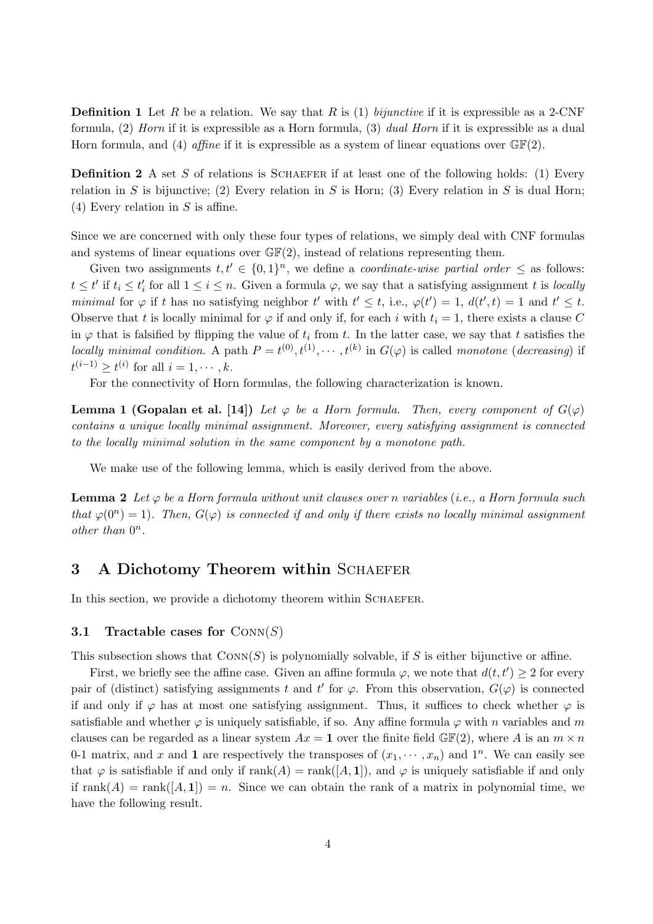**Definition 1** Let R be a relation. We say that R is (1) bijunctive if it is expressible as a 2-CNF formula, (2) Horn if it is expressible as a Horn formula, (3) dual Horn if it is expressible as a dual Horn formula, and (4) affine if it is expressible as a system of linear equations over  $\mathbb{GF}(2)$ .

**Definition 2** A set S of relations is SCHAEFER if at least one of the following holds: (1) Every relation in S is bijunctive; (2) Every relation in S is Horn; (3) Every relation in S is dual Horn; (4) Every relation in  $S$  is affine.

Since we are concerned with only these four types of relations, we simply deal with CNF formulas and systems of linear equations over  $\mathbb{GF}(2)$ , instead of relations representing them.

Given two assignments  $t, t' \in \{0, 1\}^n$ , we define a *coordinate-wise partial order*  $\leq$  as follows:  $t \leq t'$  if  $t_i \leq t'_i$  for all  $1 \leq i \leq n$ . Given a formula  $\varphi$ , we say that a satisfying assignment t is locally minimal for  $\varphi$  if t has no satisfying neighbor t' with  $t' \leq t$ , i.e.,  $\varphi(t') = 1$ ,  $d(t', t) = 1$  and  $t' \leq t$ . Observe that t is locally minimal for  $\varphi$  if and only if, for each i with  $t_i = 1$ , there exists a clause C in  $\varphi$  that is falsified by flipping the value of  $t_i$  from t. In the latter case, we say that t satisfies the locally minimal condition. A path  $P = t^{(0)}, t^{(1)}, \dots, t^{(k)}$  in  $G(\varphi)$  is called monotone (decreasing) if  $t^{(i-1)} \geq t^{(i)}$  for all  $i = 1, \cdots, k$ .

For the connectivity of Horn formulas, the following characterization is known.

**Lemma 1 (Gopalan et al. [14])** Let  $\varphi$  be a Horn formula. Then, every component of  $G(\varphi)$ contains a unique locally minimal assignment. Moreover, every satisfying assignment is connected to the locally minimal solution in the same component by a monotone path.

We make use of the following lemma, which is easily derived from the above.

**Lemma 2** Let  $\varphi$  be a Horn formula without unit clauses over n variables (i.e., a Horn formula such that  $\varphi(0^n) = 1$ ). Then,  $G(\varphi)$  is connected if and only if there exists no locally minimal assignment other than  $0^n$ .

## 3 A Dichotomy Theorem within SCHAEFER

In this section, we provide a dichotomy theorem within SCHAEFER.

#### 3.1 Tractable cases for  $Conv(S)$

This subsection shows that  $Conv(S)$  is polynomially solvable, if S is either bijunctive or affine.

First, we briefly see the affine case. Given an affine formula  $\varphi$ , we note that  $d(t, t') \geq 2$  for every pair of (distinct) satisfying assignments t and t' for  $\varphi$ . From this observation,  $G(\varphi)$  is connected if and only if  $\varphi$  has at most one satisfying assignment. Thus, it suffices to check whether  $\varphi$  is satisfiable and whether  $\varphi$  is uniquely satisfiable, if so. Any affine formula  $\varphi$  with n variables and m clauses can be regarded as a linear system  $Ax = 1$  over the finite field  $\mathbb{GF}(2)$ , where A is an  $m \times n$ 0-1 matrix, and x and 1 are respectively the transposes of  $(x_1, \dots, x_n)$  and  $1^n$ . We can easily see that  $\varphi$  is satisfiable if and only if  $rank(A) = rank([A, 1]),$  and  $\varphi$  is uniquely satisfiable if and only if  $rank(A) = rank([A, 1]) = n$ . Since we can obtain the rank of a matrix in polynomial time, we have the following result.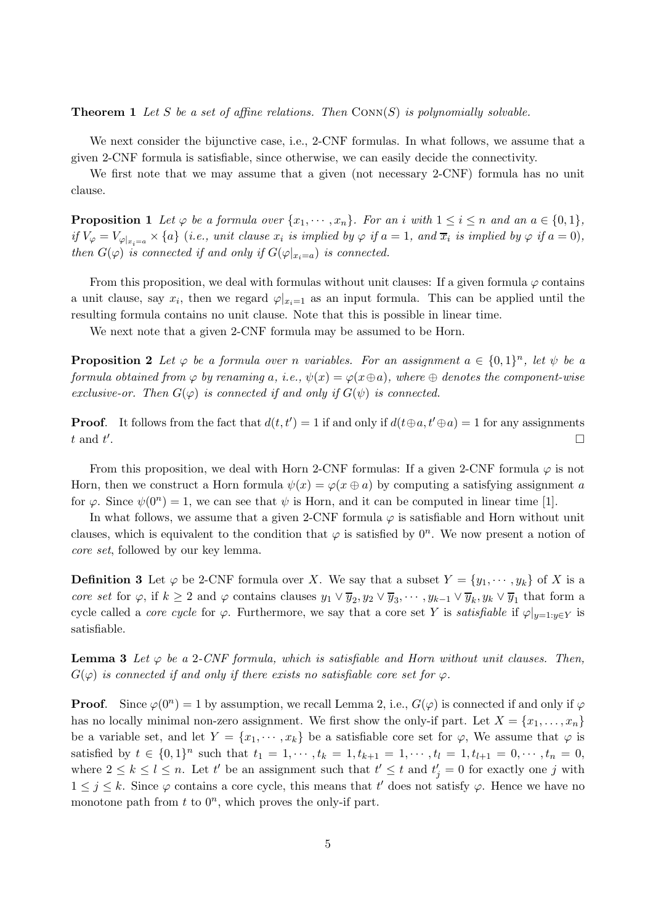**Theorem 1** Let S be a set of affine relations. Then  $Conn(S)$  is polynomially solvable.

We next consider the bijunctive case, i.e., 2-CNF formulas. In what follows, we assume that a given 2-CNF formula is satisfiable, since otherwise, we can easily decide the connectivity.

We first note that we may assume that a given (not necessary 2-CNF) formula has no unit clause.

**Proposition 1** Let  $\varphi$  be a formula over  $\{x_1, \dots, x_n\}$ . For an i with  $1 \leq i \leq n$  and an  $a \in \{0,1\}$ , if  $V_{\varphi} = V_{\varphi|x_i=a} \times \{a\}$  (i.e., unit clause  $x_i$  is implied by  $\varphi$  if  $a=1$ , and  $\overline{x}_i$  is implied by  $\varphi$  if  $a=0$ ), then  $G(\varphi)$  is connected if and only if  $G(\varphi|_{x_i=a})$  is connected.

From this proposition, we deal with formulas without unit clauses: If a given formula  $\varphi$  contains a unit clause, say  $x_i$ , then we regard  $\varphi|_{x_i=1}$  as an input formula. This can be applied until the resulting formula contains no unit clause. Note that this is possible in linear time.

We next note that a given 2-CNF formula may be assumed to be Horn.

**Proposition 2** Let  $\varphi$  be a formula over n variables. For an assignment  $a \in \{0,1\}^n$ , let  $\psi$  be a formula obtained from  $\varphi$  by renaming a, i.e.,  $\psi(x) = \varphi(x \oplus a)$ , where  $\oplus$  denotes the component-wise exclusive-or. Then  $G(\varphi)$  is connected if and only if  $G(\psi)$  is connected.

**Proof.** It follows from the fact that  $d(t, t') = 1$  if and only if  $d(t \oplus a, t' \oplus a) = 1$  for any assignments  $t$  and  $t'$ .<br>1980 - Paul Barbara, politikar eta aldera eta aldera eta aldera eta aldera eta aldera eta aldera eta aldera<br>1980 - Paul Barbara, profesora eta aldera eta aldera eta aldera eta aldera eta aldera eta aldera eta aldera

From this proposition, we deal with Horn 2-CNF formulas: If a given 2-CNF formula  $\varphi$  is not Horn, then we construct a Horn formula  $\psi(x) = \varphi(x \oplus a)$  by computing a satisfying assignment a for  $\varphi$ . Since  $\psi(0^n) = 1$ , we can see that  $\psi$  is Horn, and it can be computed in linear time [1].

In what follows, we assume that a given 2-CNF formula  $\varphi$  is satisfiable and Horn without unit clauses, which is equivalent to the condition that  $\varphi$  is satisfied by  $0^n$ . We now present a notion of core set, followed by our key lemma.

**Definition 3** Let  $\varphi$  be 2-CNF formula over X. We say that a subset  $Y = \{y_1, \dots, y_k\}$  of X is a core set for  $\varphi$ , if  $k \geq 2$  and  $\varphi$  contains clauses  $y_1 \vee \overline{y}_2, y_2 \vee \overline{y}_3, \dots, y_{k-1} \vee \overline{y}_k, y_k \vee \overline{y}_1$  that form a cycle called a *core cycle* for  $\varphi$ . Furthermore, we say that a core set Y is *satisfiable* if  $\varphi|_{y=1:y\in Y}$  is satisfiable.

**Lemma 3** Let  $\varphi$  be a 2-CNF formula, which is satisfiable and Horn without unit clauses. Then,  $G(\varphi)$  is connected if and only if there exists no satisfiable core set for  $\varphi$ .

**Proof.** Since  $\varphi(0^n) = 1$  by assumption, we recall Lemma 2, i.e.,  $G(\varphi)$  is connected if and only if  $\varphi$ has no locally minimal non-zero assignment. We first show the only-if part. Let  $X = \{x_1, \ldots, x_n\}$ be a variable set, and let  $Y = \{x_1, \dots, x_k\}$  be a satisfiable core set for  $\varphi$ , We assume that  $\varphi$  is satisfied by  $t \in \{0,1\}^n$  such that  $t_1 = 1, \dots, t_k = 1, t_{k+1} = 1, \dots, t_l = 1, t_{l+1} = 0, \dots, t_n = 0$ , where  $2 \leq k \leq l \leq n$ . Let t' be an assignment such that  $t' \leq t$  and  $t'_{j} = 0$  for exactly one j with  $1 \leq j \leq k$ . Since  $\varphi$  contains a core cycle, this means that t' does not satisfy  $\varphi$ . Hence we have no monotone path from  $t$  to  $0^n$ , which proves the only-if part.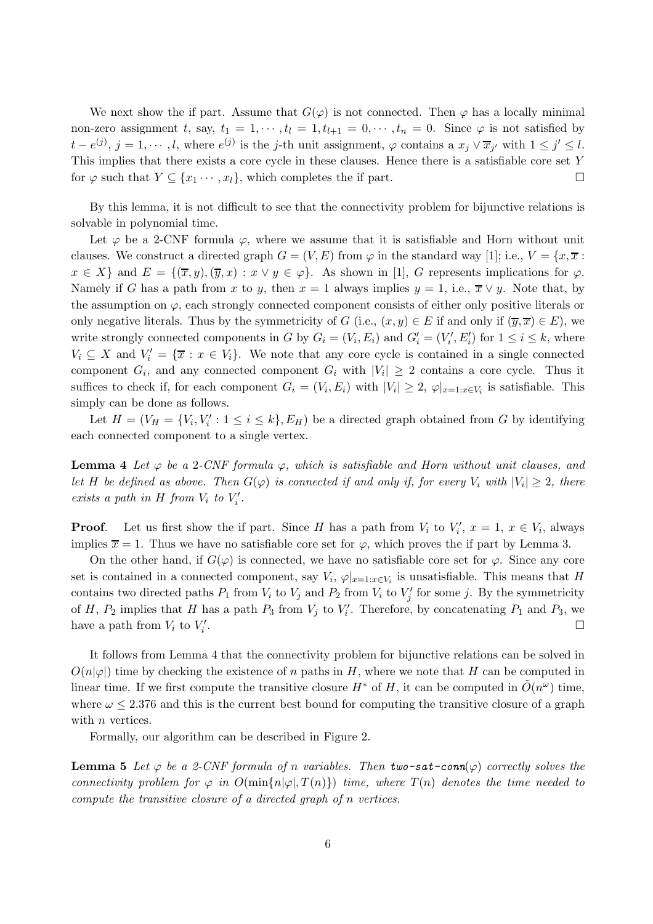We next show the if part. Assume that  $G(\varphi)$  is not connected. Then  $\varphi$  has a locally minimal non-zero assignment t, say,  $t_1 = 1, \dots, t_l = 1, t_{l+1} = 0, \dots, t_n = 0$ . Since  $\varphi$  is not satisfied by  $t - e^{(j)}$ ,  $j = 1, \dots, l$ , where  $e^{(j)}$  is the j-th unit assignment,  $\varphi$  contains a  $x_j \vee \overline{x}_{j'}$  with  $1 \leq j' \leq l$ . This implies that there exists a core cycle in these clauses. Hence there is a satisfiable core set Y for  $\varphi$  such that  $Y \subseteq \{x_1 \cdots, x_l\}$ , which completes the if part.

By this lemma, it is not difficult to see that the connectivity problem for bijunctive relations is solvable in polynomial time.

Let  $\varphi$  be a 2-CNF formula  $\varphi$ , where we assume that it is satisfiable and Horn without unit clauses. We construct a directed graph  $G = (V, E)$  from  $\varphi$  in the standard way [1]; i.e.,  $V = \{x, \overline{x} :$  $x \in X$  and  $E = \{(\overline{x}, y),(\overline{y}, x): x \vee y \in \varphi\}$ . As shown in [1], G represents implications for  $\varphi$ . Namely if G has a path from x to y, then  $x = 1$  always implies  $y = 1$ , i.e.,  $\overline{x} \vee y$ . Note that, by the assumption on  $\varphi$ , each strongly connected component consists of either only positive literals or only negative literals. Thus by the symmetricity of G (i.e.,  $(x, y) \in E$  if and only if  $(\overline{y}, \overline{x}) \in E$ ), we write strongly connected components in G by  $G_i = (V_i, E_i)$  and  $G'_i = (V'_i, E'_i)$  for  $1 \le i \le k$ , where  $V_i \subseteq X$  and  $V'_i = {\overline{x} : x \in V_i}$ . We note that any core cycle is contained in a single connected component  $G_i$ , and any connected component  $G_i$  with  $|V_i| \geq 2$  contains a core cycle. Thus it suffices to check if, for each component  $G_i = (V_i, E_i)$  with  $|V_i| \geq 2$ ,  $\varphi|_{x=1:x \in V_i}$  is satisfiable. This simply can be done as follows.

Let  $H = (V_H = \{V_i, V'_i : 1 \leq i \leq k\}, E_H)$  be a directed graph obtained from G by identifying each connected component to a single vertex.

**Lemma 4** Let  $\varphi$  be a 2-CNF formula  $\varphi$ , which is satisfiable and Horn without unit clauses, and let H be defined as above. Then  $G(\varphi)$  is connected if and only if, for every  $V_i$  with  $|V_i|\geq 2$ , there exists a path in H from  $V_i$  to  $V'_i$ .

**Proof.** Let us first show the if part. Since H has a path from  $V_i$  to  $V'_i$ ,  $x = 1, x \in V_i$ , always implies  $\overline{x} = 1$ . Thus we have no satisfiable core set for  $\varphi$ , which proves the if part by Lemma 3.

On the other hand, if  $G(\varphi)$  is connected, we have no satisfiable core set for  $\varphi$ . Since any core set is contained in a connected component, say  $V_i$ ,  $\varphi|_{x=1:x\in V_i}$  is unsatisfiable. This means that H contains two directed paths  $P_1$  from  $V_i$  to  $V_j$  and  $P_2$  from  $V_i$  to  $V'_j$  for some j. By the symmetricity of H,  $P_2$  implies that H has a path  $P_3$  from  $V_j$  to  $V'_i$ . Therefore, by concatenating  $P_1$  and  $P_3$ , we have a path from  $V_i$  to  $V'_i$ .

It follows from Lemma 4 that the connectivity problem for bijunctive relations can be solved in  $O(n|\varphi|)$  time by checking the existence of n paths in H, where we note that H can be computed in linear time. If we first compute the transitive closure  $H^*$  of H, it can be computed in  $\tilde{O}(n^{\omega})$  time, where  $\omega \leq 2.376$  and this is the current best bound for computing the transitive closure of a graph with  $n$  vertices.

Formally, our algorithm can be described in Figure 2.

**Lemma 5** Let  $\varphi$  be a 2-CNF formula of n variables. Then two-sat-conn( $\varphi$ ) correctly solves the connectivity problem for  $\varphi$  in  $O(\min\{n|\varphi|,T(n)\})$  time, where  $T(n)$  denotes the time needed to compute the transitive closure of a directed graph of n vertices.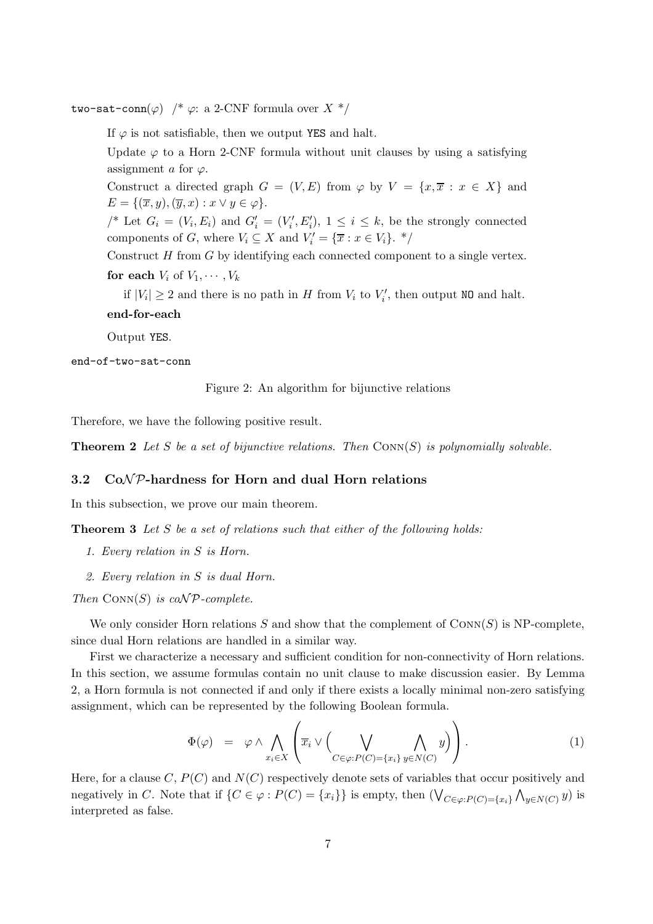two-sat-conn( $\varphi$ ) /\*  $\varphi$ : a 2-CNF formula over X \*/

If  $\varphi$  is not satisfiable, then we output YES and halt.

Update  $\varphi$  to a Horn 2-CNF formula without unit clauses by using a satisfying assignment a for  $\varphi$ .

Construct a directed graph  $G = (V, E)$  from  $\varphi$  by  $V = \{x, \overline{x} : x \in X\}$  and  $E = \{(\overline{x}, y), (\overline{y}, x) : x \vee y \in \varphi\}.$ 

/\* Let  $G_i = (V_i, E_i)$  and  $G'_i = (V'_i, E'_i), 1 \leq i \leq k$ , be the strongly connected components of G, where  $V_i \subseteq X$  and  $V'_i = \{ \overline{x} : x \in V_i \}$ . \*/

Construct  $H$  from  $G$  by identifying each connected component to a single vertex. for each  $V_i$  of  $V_1, \cdots, V_k$ 

if  $|V_i| \geq 2$  and there is no path in H from  $V_i$  to  $V'_i$ , then output NO and halt. end-for-each

Output YES.

end-of-two-sat-conn

Figure 2: An algorithm for bijunctive relations

Therefore, we have the following positive result.

**Theorem 2** Let S be a set of bijunctive relations. Then  $\text{Conv}(S)$  is polynomially solvable.

#### 3.2  $CoNP$ -hardness for Horn and dual Horn relations

In this subsection, we prove our main theorem.

**Theorem 3** Let S be a set of relations such that either of the following holds:

- 1. Every relation in S is Horn.
- 2. Every relation in S is dual Horn.

Then  $Conv(S)$  is coNP-complete.

We only consider Horn relations S and show that the complement of  $\text{Conv}(S)$  is NP-complete, since dual Horn relations are handled in a similar way.

First we characterize a necessary and sufficient condition for non-connectivity of Horn relations. In this section, we assume formulas contain no unit clause to make discussion easier. By Lemma 2, a Horn formula is not connected if and only if there exists a locally minimal non-zero satisfying assignment, which can be represented by the following Boolean formula.

$$
\Phi(\varphi) = \varphi \wedge \bigwedge_{x_i \in X} \left( \overline{x}_i \vee \left( \bigvee_{C \in \varphi: P(C) = \{x_i\}} \bigwedge_{y \in N(C)} y \right) \right). \tag{1}
$$

Here, for a clause C,  $P(C)$  and  $N(C)$  respectively denote sets of variables that occur positively and negatively in C. Note that if  $\{C \in \varphi : P(C) = \{x_i\}\}$  is empty, then  $(\bigvee_{C \in \varphi : P(C) = \{x_i\}} \bigwedge_{y \in N(C)} y)$  is interpreted as false.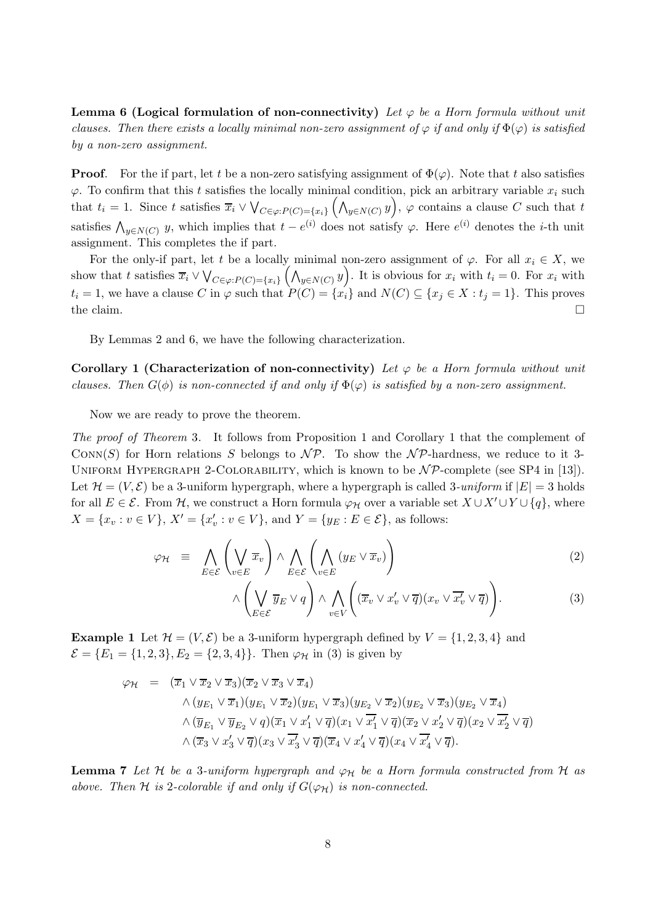**Lemma 6 (Logical formulation of non-connectivity)** Let  $\varphi$  be a Horn formula without unit clauses. Then there exists a locally minimal non-zero assignment of  $\varphi$  if and only if  $\Phi(\varphi)$  is satisfied by a non-zero assignment.

**Proof.** For the if part, let t be a non-zero satisfying assignment of  $\Phi(\varphi)$ . Note that t also satisfies  $\varphi$ . To confirm that this t satisfies the locally minimal condition, pick an arbitrary variable  $x_i$  such that  $t_i = 1$ . Since t satisfies  $\overline{x}_i \vee \bigvee_{C \in \varphi: P(C) = \{x_i\}} \left(\bigwedge_{y \in N(C)} y\right)$ ,  $\varphi$  contains a clause C such that t satisfies  $\bigwedge_{y \in N(C)} y$ , which implies that  $t - e^{(i)}$  does not satisfy  $\varphi$ . Here  $e^{(i)}$  denotes the *i*-th unit assignment. This completes the if part.

For the only-if part, let t be a locally minimal non-zero assignment of  $\varphi$ . For all  $x_i \in X$ , we show that t satisfies  $\overline{x}_i \vee \bigvee_{C \in \varphi: P(C) = \{x_i\}} \left(\bigwedge_{y \in N(C)} y\right)$ . It is obvious for  $x_i$  with  $t_i = 0$ . For  $x_i$  with  $t_i = 1$ , we have a clause C in  $\varphi$  such that  $P(C) = \{x_i\}$  and  $N(C) \subseteq \{x_i \in X : t_i = 1\}$ . This proves the claim.  $\square$ 

By Lemmas 2 and 6, we have the following characterization.

Corollary 1 (Characterization of non-connectivity) Let  $\varphi$  be a Horn formula without unit clauses. Then  $G(\phi)$  is non-connected if and only if  $\Phi(\varphi)$  is satisfied by a non-zero assignment.

Now we are ready to prove the theorem.

The proof of Theorem 3. It follows from Proposition 1 and Corollary 1 that the complement of CONN(S) for Horn relations S belongs to  $\mathcal{NP}$ . To show the  $\mathcal{NP}$ -hardness, we reduce to it 3-UNIFORM HYPERGRAPH 2-COLORABILITY, which is known to be  $N\mathcal{P}$ -complete (see SP4 in [13]). Let  $\mathcal{H} = (V, \mathcal{E})$  be a 3-uniform hypergraph, where a hypergraph is called 3-uniform if  $|E| = 3$  holds for all  $E \in \mathcal{E}$ . From  $\mathcal{H}$ , we construct a Horn formula  $\varphi_{\mathcal{H}}$  over a variable set  $X \cup X' \cup Y \cup \{q\}$ , where  $X = \{x_v : v \in V\},\ X' = \{x'_v : v \in V\},\$ and  $Y = \{y_E : E \in \mathcal{E}\},\$ as follows:

$$
\varphi_{\mathcal{H}} = \bigwedge_{E \in \mathcal{E}} \left( \bigvee_{v \in E} \overline{x}_v \right) \wedge \bigwedge_{E \in \mathcal{E}} \left( \bigwedge_{v \in E} (y_E \vee \overline{x}_v) \right) \tag{2}
$$

$$
\wedge \left(\bigvee_{E \in \mathcal{E}} \overline{y}_E \vee q\right) \wedge \bigwedge_{v \in V} \left(\overline{x}_v \vee x'_v \vee \overline{q} \right) \left(x_v \vee \overline{x'_v} \vee \overline{q}\right)\right).
$$
 (3)

**Example 1** Let  $\mathcal{H} = (V, \mathcal{E})$  be a 3-uniform hypergraph defined by  $V = \{1, 2, 3, 4\}$  and  $\mathcal{E} = \{E_1 = \{1, 2, 3\}, E_2 = \{2, 3, 4\}\}\.$  Then  $\varphi_H$  in (3) is given by

$$
\varphi_{\mathcal{H}} = (\overline{x}_1 \vee \overline{x}_2 \vee \overline{x}_3)(\overline{x}_2 \vee \overline{x}_3 \vee \overline{x}_4)
$$
  

$$
\wedge (y_{E_1} \vee \overline{x}_1)(y_{E_1} \vee \overline{x}_2)(y_{E_1} \vee \overline{x}_3)(y_{E_2} \vee \overline{x}_2)(y_{E_2} \vee \overline{x}_3)(y_{E_2} \vee \overline{x}_4)
$$
  

$$
\wedge (\overline{y}_{E_1} \vee \overline{y}_{E_2} \vee q)(\overline{x}_1 \vee x_1' \vee \overline{q})(x_1 \vee \overline{x_1'} \vee \overline{q})(\overline{x}_2 \vee x_2' \vee \overline{q})(x_2 \vee \overline{x_2'} \vee \overline{q})
$$
  

$$
\wedge (\overline{x}_3 \vee x_3' \vee \overline{q})(x_3 \vee \overline{x_3'} \vee \overline{q})(\overline{x}_4 \vee x_4' \vee \overline{q})(x_4 \vee \overline{x_4'} \vee \overline{q}).
$$

**Lemma 7** Let H be a 3-uniform hypergraph and  $\varphi_H$  be a Horn formula constructed from H as above. Then H is 2-colorable if and only if  $G(\varphi_H)$  is non-connected.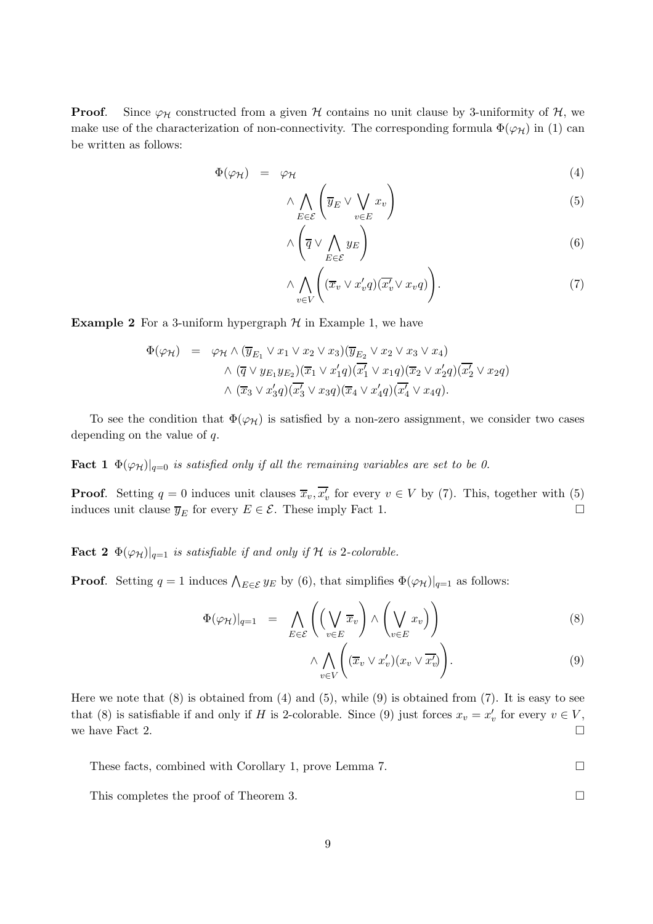**Proof.** Since  $\varphi_{\mathcal{H}}$  constructed from a given  $\mathcal{H}$  contains no unit clause by 3-uniformity of  $\mathcal{H}$ , we make use of the characterization of non-connectivity. The corresponding formula  $\Phi(\varphi_H)$  in (1) can be written as follows:

$$
\Phi(\varphi_{\mathcal{H}}) = \varphi_{\mathcal{H}} \tag{4}
$$

$$
\wedge \bigwedge_{E \in \mathcal{E}} \left( \overline{y}_E \vee \bigvee_{v \in E} x_v \right) \tag{5}
$$

$$
\wedge \left( \overline{q} \vee \bigwedge_{E \in \mathcal{E}} y_E \right) \tag{6}
$$

$$
\wedge \bigwedge_{v \in V} \left( (\overline{x}_v \vee x'_v q)(\overline{x'_v} \vee x_v q) \right). \tag{7}
$$

**Example 2** For a 3-uniform hypergraph  $H$  in Example 1, we have

$$
\Phi(\varphi_{\mathcal{H}}) = \varphi_{\mathcal{H}} \wedge (\overline{y}_{E_1} \vee x_1 \vee x_2 \vee x_3)(\overline{y}_{E_2} \vee x_2 \vee x_3 \vee x_4)
$$

$$
\wedge (\overline{q} \vee y_{E_1} y_{E_2})(\overline{x}_1 \vee x'_1 q)(\overline{x'_1} \vee x_1 q)(\overline{x}_2 \vee x'_2 q)(\overline{x'_2} \vee x_2 q)
$$

$$
\wedge (\overline{x}_3 \vee x'_3 q)(\overline{x'_3} \vee x_3 q)(\overline{x}_4 \vee x'_4 q)(\overline{x'_4} \vee x_4 q).
$$

To see the condition that  $\Phi(\varphi_H)$  is satisfied by a non-zero assignment, we consider two cases depending on the value of q.

**Fact 1**  $\Phi(\varphi_H)|_{q=0}$  is satisfied only if all the remaining variables are set to be 0.

**Proof.** Setting  $q = 0$  induces unit clauses  $\overline{x}_v, \overline{x'_v}$  for every  $v \in V$  by (7). This, together with (5) induces unit clause  $\overline{y}_E$  for every  $E \in \mathcal{E}$ . These imply Fact 1.

**Fact 2**  $\Phi(\varphi_{\mathcal{H}})|_{q=1}$  is satisfiable if and only if H is 2-colorable.

**Proof.** Setting  $q = 1$  induces  $\bigwedge_{E \in \mathcal{E}} y_E$  by (6), that simplifies  $\Phi(\varphi_H)|_{q=1}$  as follows:

$$
\Phi(\varphi_{\mathcal{H}})|_{q=1} = \bigwedge_{E \in \mathcal{E}} \left( \left( \bigvee_{v \in E} \overline{x}_v \right) \wedge \left( \bigvee_{v \in E} x_v \right) \right) \tag{8}
$$

$$
\wedge \bigwedge_{v \in V} \left( (\overline{x}_v \vee x'_v)(x_v \vee \overline{x'_v}) \right). \tag{9}
$$

Here we note that  $(8)$  is obtained from  $(4)$  and  $(5)$ , while  $(9)$  is obtained from  $(7)$ . It is easy to see that (8) is satisfiable if and only if H is 2-colorable. Since (9) just forces  $x_v = x'_v$  for every  $v \in V$ , we have Fact 2.

These facts, combined with Corollary 1, prove Lemma 7.

This completes the proof of Theorem 3.

9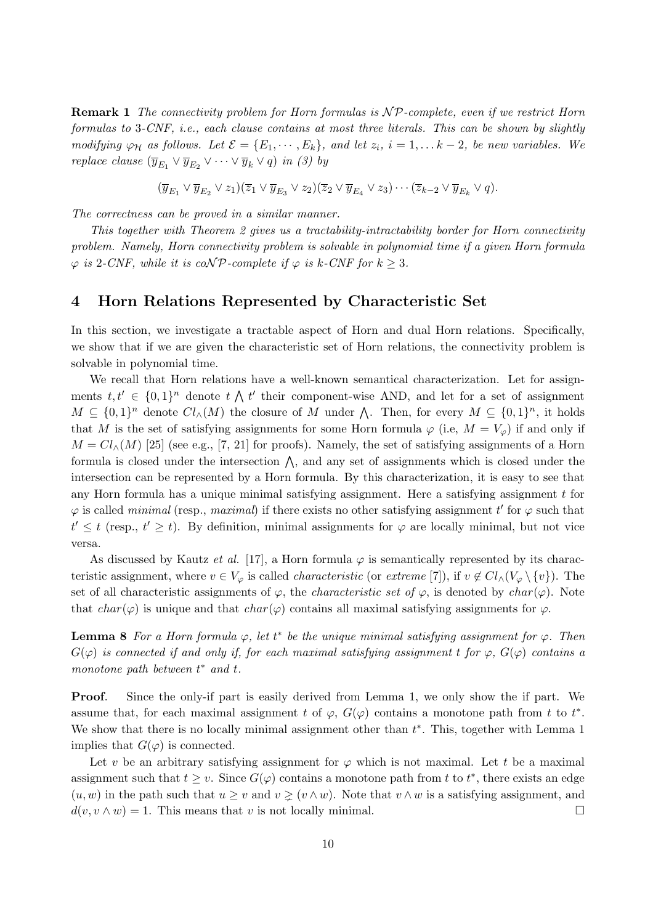**Remark 1** The connectivity problem for Horn formulas is  $\mathcal{NP}$ -complete, even if we restrict Horn formulas to 3-CNF, i.e., each clause contains at most three literals. This can be shown by slightly modifying  $\varphi_H$  as follows. Let  $\mathcal{E} = \{E_1, \dots, E_k\}$ , and let  $z_i$ ,  $i = 1, \dots k-2$ , be new variables. We replace clause  $(\overline{y}_{E_1} \vee \overline{y}_{E_2} \vee \cdots \vee \overline{y}_k \vee q)$  in (3) by

$$
(\overline{y}_{E_1} \vee \overline{y}_{E_2} \vee z_1)(\overline{z}_1 \vee \overline{y}_{E_3} \vee z_2)(\overline{z}_2 \vee \overline{y}_{E_4} \vee z_3) \cdots (\overline{z}_{k-2} \vee \overline{y}_{E_k} \vee q).
$$

The correctness can be proved in a similar manner.

This together with Theorem 2 gives us a tractability-intractability border for Horn connectivity problem. Namely, Horn connectivity problem is solvable in polynomial time if a given Horn formula  $\varphi$  is 2-CNF, while it is coNP-complete if  $\varphi$  is k-CNF for  $k > 3$ .

### 4 Horn Relations Represented by Characteristic Set

In this section, we investigate a tractable aspect of Horn and dual Horn relations. Specifically, we show that if we are given the characteristic set of Horn relations, the connectivity problem is solvable in polynomial time.

We recall that Horn relations have a well-known semantical characterization. Let for assignments  $t, t' \in \{0, 1\}^n$  denote  $t \wedge t'$  their component-wise AND, and let for a set of assignment  $M \subseteq \{0,1\}^n$  denote  $Cl_{\wedge}(M)$  the closure of M under  $\bigwedge$ . Then, for every  $M \subseteq \{0,1\}^n$ , it holds that M is the set of satisfying assignments for some Horn formula  $\varphi$  (i.e,  $M = V_{\varphi}$ ) if and only if  $M = Cl<sub>∧</sub>(M)$  [25] (see e.g., [7, 21] for proofs). Namely, the set of satisfying assignments of a Horn formula is closed under the intersection  $\wedge$ , and any set of assignments which is closed under the intersection can be represented by a Horn formula. By this characterization, it is easy to see that any Horn formula has a unique minimal satisfying assignment. Here a satisfying assignment  $t$  for  $\varphi$  is called *minimal* (resp., *maximal*) if there exists no other satisfying assignment t' for  $\varphi$  such that  $t' \leq t$  (resp.,  $t' \geq t$ ). By definition, minimal assignments for  $\varphi$  are locally minimal, but not vice versa.

As discussed by Kautz *et al.* [17], a Horn formula  $\varphi$  is semantically represented by its characteristic assignment, where  $v \in V_{\varphi}$  is called *characteristic* (or extreme [7]), if  $v \notin Cl_{\wedge}(V_{\varphi} \setminus \{v\})$ . The set of all characteristic assignments of  $\varphi$ , the *characteristic set of*  $\varphi$ , is denoted by *char*( $\varphi$ ). Note that  $char(\varphi)$  is unique and that  $char(\varphi)$  contains all maximal satisfying assignments for  $\varphi$ .

**Lemma 8** For a Horn formula  $\varphi$ , let  $t^*$  be the unique minimal satisfying assignment for  $\varphi$ . Then  $G(\varphi)$  is connected if and only if, for each maximal satisfying assignment t for  $\varphi$ ,  $G(\varphi)$  contains a monotone path between  $t^*$  and  $t$ .

Proof. Since the only-if part is easily derived from Lemma 1, we only show the if part. We assume that, for each maximal assignment t of  $\varphi$ ,  $G(\varphi)$  contains a monotone path from t to  $t^*$ . We show that there is no locally minimal assignment other than  $t^*$ . This, together with Lemma 1 implies that  $G(\varphi)$  is connected.

Let v be an arbitrary satisfying assignment for  $\varphi$  which is not maximal. Let t be a maximal assignment such that  $t \geq v$ . Since  $G(\varphi)$  contains a monotone path from t to  $t^*$ , there exists an edge  $(u, w)$  in the path such that  $u \geq v$  and  $v \geq (v \wedge w)$ . Note that  $v \wedge w$  is a satisfying assignment, and  $d(v, v \wedge w) = 1$ . This means that v is not locally minimal.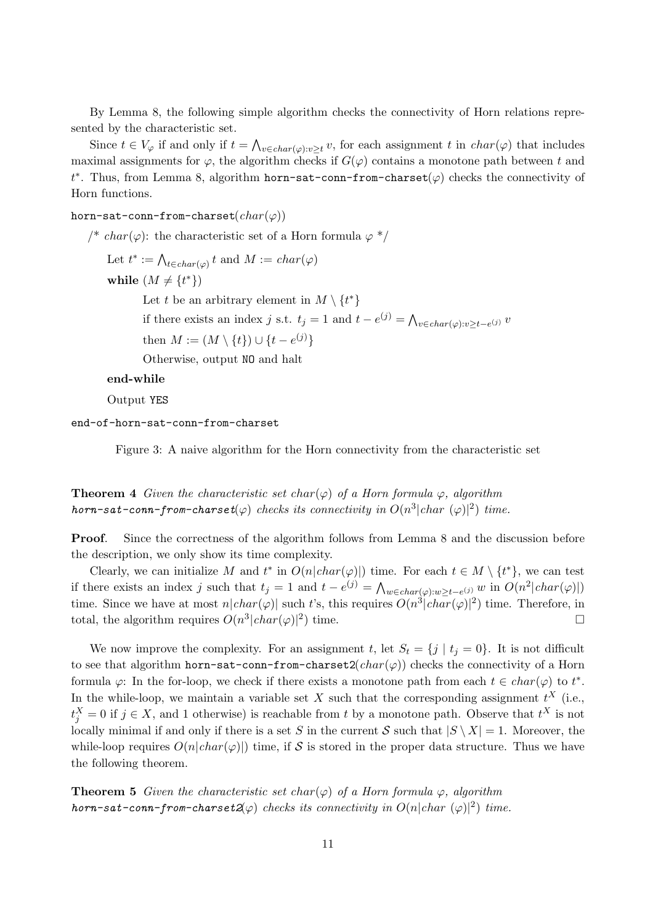By Lemma 8, the following simple algorithm checks the connectivity of Horn relations represented by the characteristic set.

Since  $t \in V_{\varphi}$  if and only if  $t = \bigwedge_{v \in char(\varphi): v \geq t} v$ , for each assignment t in  $char(\varphi)$  that includes maximal assignments for  $\varphi$ , the algorithm checks if  $G(\varphi)$  contains a monotone path between t and t<sup>\*</sup>. Thus, from Lemma 8, algorithm horn-sat-conn-from-charset( $\varphi$ ) checks the connectivity of Horn functions.

horn-sat-conn-from-charset $(char(\varphi))$ 

/\* char( $\varphi$ ): the characteristic set of a Horn formula  $\varphi$  \*/

Let  $t^* := \bigwedge_{t \in char(\varphi)} t$  and  $M := char(\varphi)$ 

while  $(M \neq \{t^*\})$ 

Let t be an arbitrary element in  $M \setminus \{t^*\}$ 

if there exists an index j s.t.  $t_j = 1$  and  $t - e^{(j)} = \bigwedge_{v \in char(\varphi): v \ge t - e^{(j)}} v$ 

then  $M := (M \setminus \{t\}) \cup \{t - e^{(j)}\}$ 

Otherwise, output NO and halt

end-while

Output YES

end-of-horn-sat-conn-from-charset

Figure 3: A naive algorithm for the Horn connectivity from the characteristic set

**Theorem 4** Given the characteristic set char( $\varphi$ ) of a Horn formula  $\varphi$ , algorithm horn-sat-conn-from-charset( $\varphi$ ) checks its connectivity in  $O(n^3|char~(\varphi)|^2)$  time.

Proof. Since the correctness of the algorithm follows from Lemma 8 and the discussion before the description, we only show its time complexity.

Clearly, we can initialize M and  $t^*$  in  $O(n|char(\varphi)|)$  time. For each  $t \in M \setminus \{t^*\}$ , we can test if there exists an index j such that  $t_j = 1$  and  $t - e^{(j)} = \bigwedge_{w \in char(\varphi): w \ge t - e^{(j)}} w$  in  $O(n^2 | char(\varphi)|)$ time. Since we have at most  $n|char(\varphi)|$  such t's, this requires  $O(n^3|char(\varphi)|^2)$  time. Therefore, in total, the algorithm requires  $O(n^3|char(\varphi)|^2)$  time.

We now improve the complexity. For an assignment t, let  $S_t = \{j | t_j = 0\}$ . It is not difficult to see that algorithm horn-sat-conn-from-charset2( $char(\varphi)$ ) checks the connectivity of a Horn formula  $\varphi$ : In the for-loop, we check if there exists a monotone path from each  $t \in char(\varphi)$  to  $t^*$ . In the while-loop, we maintain a variable set X such that the corresponding assignment  $t^X$  (i.e.,  $t_j^X = 0$  if  $j \in X$ , and 1 otherwise) is reachable from t by a monotone path. Observe that  $t^X$  is not locally minimal if and only if there is a set S in the current S such that  $|S \setminus X| = 1$ . Moreover, the while-loop requires  $O(n|char(\varphi)|)$  time, if S is stored in the proper data structure. Thus we have the following theorem.

**Theorem 5** Given the characteristic set char( $\varphi$ ) of a Horn formula  $\varphi$ , algorithm horn-sat-conn-from-charset $2(\varphi)$  checks its connectivity in  $O(n|char (\varphi)|^2)$  time.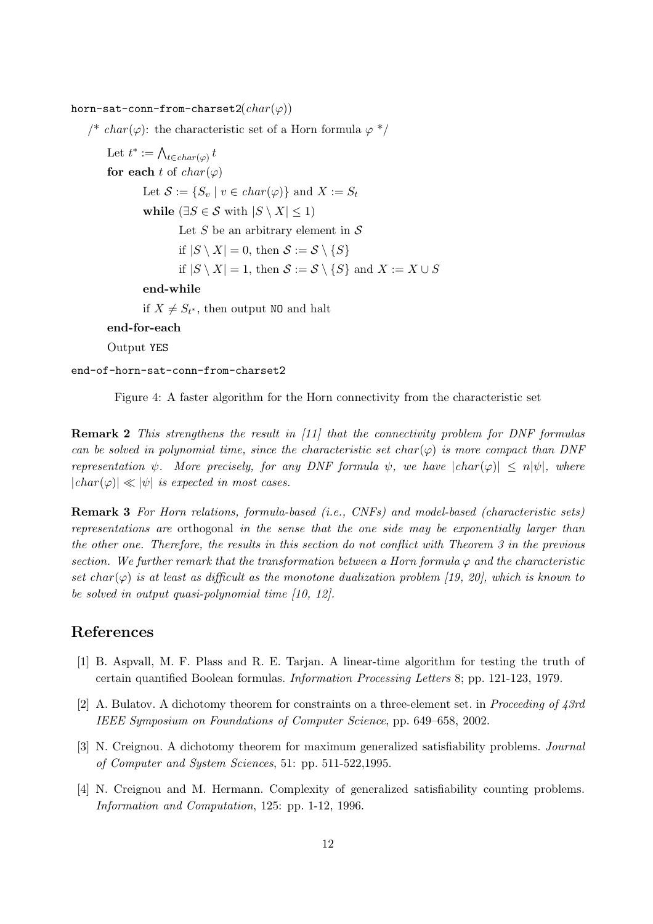horn-sat-conn-from-charset2( $char(\varphi)$ )

/\* char( $\varphi$ ): the characteristic set of a Horn formula  $\varphi$  \*/

Let  $t^* := \bigwedge_{t \in char(\varphi)} t$ for each t of  $char(\varphi)$ Let  $S := \{S_v \mid v \in char(\varphi)\}\$ and  $X := S_t$ while  $(\exists S \in \mathcal{S}$  with  $|S \setminus X| \leq 1)$ Let S be an arbitrary element in  $S$ if  $|S \setminus X| = 0$ , then  $S := S \setminus \{S\}$ if  $|S \setminus X| = 1$ , then  $S := S \setminus \{S\}$  and  $X := X \cup S$ end-while if  $X \neq S_{t^*}$ , then output NO and halt end-for-each

Output YES

end-of-horn-sat-conn-from-charset2

Figure 4: A faster algorithm for the Horn connectivity from the characteristic set

**Remark 2** This strengthens the result in [11] that the connectivity problem for DNF formulas can be solved in polynomial time, since the characteristic set char( $\varphi$ ) is more compact than DNF representation  $\psi$ . More precisely, for any DNF formula  $\psi$ , we have  $|char(\varphi)| \leq n|\psi|$ , where  $|char(\varphi)| \ll |\psi|$  is expected in most cases.

Remark 3 For Horn relations, formula-based (i.e., CNFs) and model-based (characteristic sets) representations are orthogonal in the sense that the one side may be exponentially larger than the other one. Therefore, the results in this section do not conflict with Theorem 3 in the previous section. We further remark that the transformation between a Horn formula  $\varphi$  and the characteristic set char( $\varphi$ ) is at least as difficult as the monotone dualization problem [19, 20], which is known to be solved in output quasi-polynomial time [10, 12].

## References

- [1] B. Aspvall, M. F. Plass and R. E. Tarjan. A linear-time algorithm for testing the truth of certain quantified Boolean formulas. Information Processing Letters 8; pp. 121-123, 1979.
- [2] A. Bulatov. A dichotomy theorem for constraints on a three-element set. in Proceeding of 43rd IEEE Symposium on Foundations of Computer Science, pp. 649–658, 2002.
- [3] N. Creignou. A dichotomy theorem for maximum generalized satisfiability problems. Journal of Computer and System Sciences, 51: pp. 511-522,1995.
- [4] N. Creignou and M. Hermann. Complexity of generalized satisfiability counting problems. Information and Computation, 125: pp. 1-12, 1996.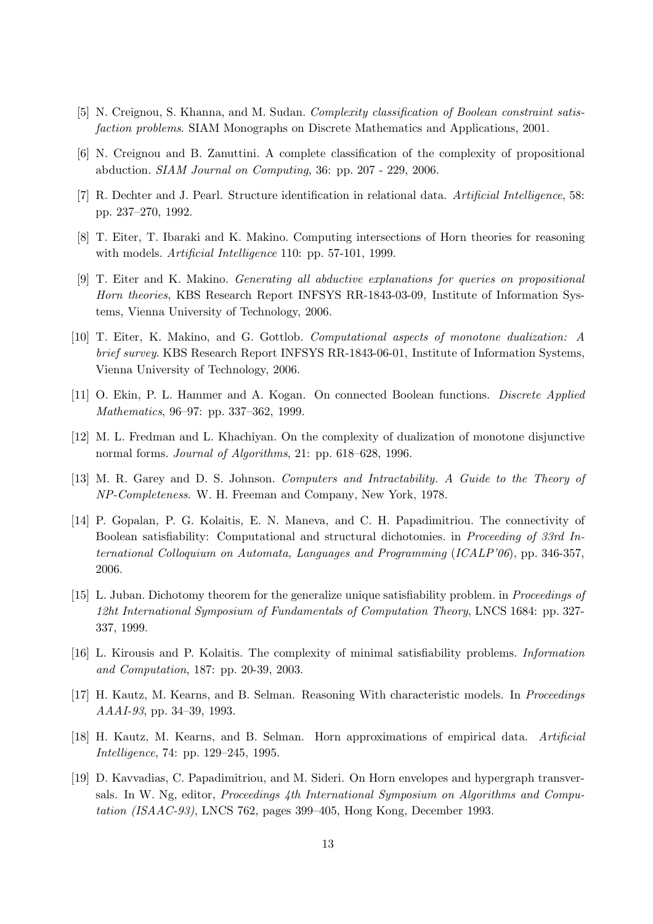- [5] N. Creignou, S. Khanna, and M. Sudan. Complexity classification of Boolean constraint satisfaction problems. SIAM Monographs on Discrete Mathematics and Applications, 2001.
- [6] N. Creignou and B. Zanuttini. A complete classification of the complexity of propositional abduction. SIAM Journal on Computing, 36: pp. 207 - 229, 2006.
- [7] R. Dechter and J. Pearl. Structure identification in relational data. Artificial Intelligence, 58: pp. 237–270, 1992.
- [8] T. Eiter, T. Ibaraki and K. Makino. Computing intersections of Horn theories for reasoning with models. *Artificial Intelligence* 110: pp. 57-101, 1999.
- [9] T. Eiter and K. Makino. Generating all abductive explanations for queries on propositional Horn theories, KBS Research Report INFSYS RR-1843-03-09, Institute of Information Systems, Vienna University of Technology, 2006.
- [10] T. Eiter, K. Makino, and G. Gottlob. Computational aspects of monotone dualization: A brief survey. KBS Research Report INFSYS RR-1843-06-01, Institute of Information Systems. Vienna University of Technology, 2006.
- [11] O. Ekin, P. L. Hammer and A. Kogan. On connected Boolean functions. Discrete Applied Mathematics, 96–97: pp. 337–362, 1999.
- [12] M. L. Fredman and L. Khachiyan. On the complexity of dualization of monotone disjunctive normal forms. Journal of Algorithms, 21: pp. 618–628, 1996.
- [13] M. R. Garey and D. S. Johnson. Computers and Intractability. A Guide to the Theory of NP-Completeness. W. H. Freeman and Company, New York, 1978.
- [14] P. Gopalan, P. G. Kolaitis, E. N. Maneva, and C. H. Papadimitriou. The connectivity of Boolean satisfiability: Computational and structural dichotomies. in Proceeding of 33rd International Colloquium on Automata, Languages and Programming (ICALP'06), pp. 346-357, 2006.
- [15] L. Juban. Dichotomy theorem for the generalize unique satisfiability problem. in *Proceedings of* 12ht International Symposium of Fundamentals of Computation Theory, LNCS 1684: pp. 327- 337, 1999.
- [16] L. Kirousis and P. Kolaitis. The complexity of minimal satisfiability problems. Information and Computation, 187: pp. 20-39, 2003.
- [17] H. Kautz, M. Kearns, and B. Selman. Reasoning With characteristic models. In Proceedings AAAI-93, pp. 34–39, 1993.
- [18] H. Kautz, M. Kearns, and B. Selman. Horn approximations of empirical data. Artificial Intelligence, 74: pp. 129–245, 1995.
- [19] D. Kavvadias, C. Papadimitriou, and M. Sideri. On Horn envelopes and hypergraph transversals. In W. Ng, editor, Proceedings 4th International Symposium on Algorithms and Computation (ISAAC-93), LNCS 762, pages 399–405, Hong Kong, December 1993.